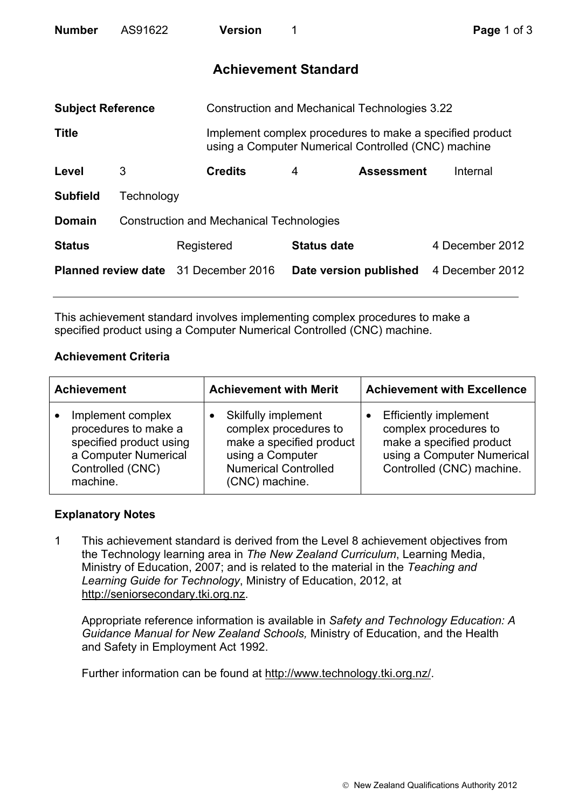| <b>Number</b>                               | AS91622                                         |            | <b>Version</b>                                       |   |                                                                                                                 | Page 1 of 3     |  |
|---------------------------------------------|-------------------------------------------------|------------|------------------------------------------------------|---|-----------------------------------------------------------------------------------------------------------------|-----------------|--|
| <b>Achievement Standard</b>                 |                                                 |            |                                                      |   |                                                                                                                 |                 |  |
| <b>Subject Reference</b>                    |                                                 |            | <b>Construction and Mechanical Technologies 3.22</b> |   |                                                                                                                 |                 |  |
| <b>Title</b>                                |                                                 |            |                                                      |   | Implement complex procedures to make a specified product<br>using a Computer Numerical Controlled (CNC) machine |                 |  |
| Level                                       | 3                                               |            | <b>Credits</b>                                       | 4 | <b>Assessment</b>                                                                                               | Internal        |  |
| <b>Subfield</b>                             | Technology                                      |            |                                                      |   |                                                                                                                 |                 |  |
| <b>Domain</b>                               | <b>Construction and Mechanical Technologies</b> |            |                                                      |   |                                                                                                                 |                 |  |
| <b>Status</b>                               |                                                 | Registered |                                                      |   | <b>Status date</b>                                                                                              | 4 December 2012 |  |
| <b>Planned review date</b> 31 December 2016 |                                                 |            |                                                      |   | Date version published                                                                                          | 4 December 2012 |  |

This achievement standard involves implementing complex procedures to make a specified product using a Computer Numerical Controlled (CNC) machine.

## **Achievement Criteria**

| <b>Achievement</b> |                                                                                                                              | <b>Achievement with Merit</b>                                                                                                                        | <b>Achievement with Excellence</b>                                                                                                           |  |
|--------------------|------------------------------------------------------------------------------------------------------------------------------|------------------------------------------------------------------------------------------------------------------------------------------------------|----------------------------------------------------------------------------------------------------------------------------------------------|--|
|                    | Implement complex<br>procedures to make a<br>specified product using<br>a Computer Numerical<br>Controlled (CNC)<br>machine. | <b>Skilfully implement</b><br>complex procedures to<br>make a specified product<br>using a Computer<br><b>Numerical Controlled</b><br>(CNC) machine. | <b>Efficiently implement</b><br>complex procedures to<br>make a specified product<br>using a Computer Numerical<br>Controlled (CNC) machine. |  |

## **Explanatory Notes**

1 This achievement standard is derived from the Level 8 achievement objectives from the Technology learning area in *The New Zealand Curriculum*, Learning Media, Ministry of Education, 2007; and is related to the material in the *Teaching and Learning Guide for Technology*, Ministry of Education, 2012, at http://seniorsecondary.tki.org.nz.

Appropriate reference information is available in *Safety and Technology Education: A Guidance Manual for New Zealand Schools,* Ministry of Education, and the Health and Safety in Employment Act 1992.

Further information can be found at http://www.technology.tki.org.nz/.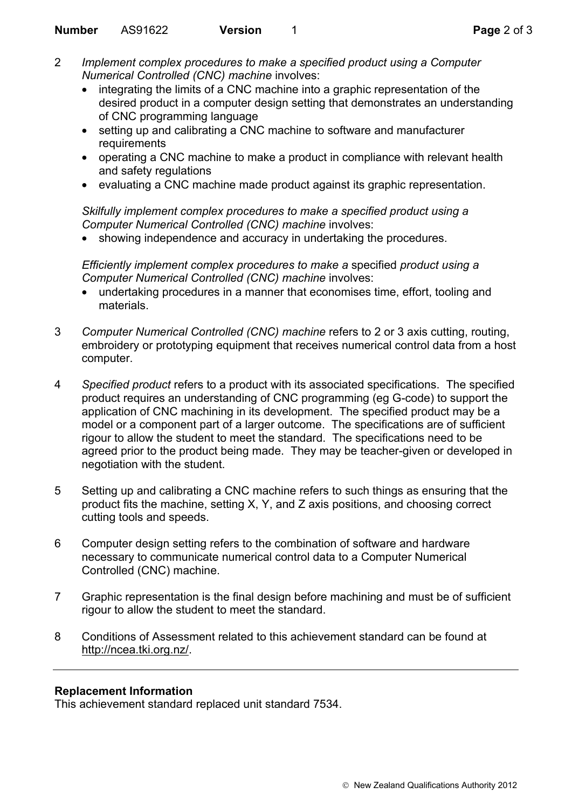- 2 *Implement complex procedures to make a specified product using a Computer Numerical Controlled (CNC) machine* involves:
	- integrating the limits of a CNC machine into a graphic representation of the desired product in a computer design setting that demonstrates an understanding of CNC programming language
	- setting up and calibrating a CNC machine to software and manufacturer requirements
	- operating a CNC machine to make a product in compliance with relevant health and safety regulations
	- evaluating a CNC machine made product against its graphic representation.

*Skilfully implement complex procedures to make a specified product using a Computer Numerical Controlled (CNC) machine* involves:

• showing independence and accuracy in undertaking the procedures.

*Efficiently implement complex procedures to make a* specified *product using a Computer Numerical Controlled (CNC) machine* involves:

- undertaking procedures in a manner that economises time, effort, tooling and materials.
- 3 *Computer Numerical Controlled (CNC) machine* refers to 2 or 3 axis cutting, routing, embroidery or prototyping equipment that receives numerical control data from a host computer.
- 4 *Specified product* refers to a product with its associated specifications. The specified product requires an understanding of CNC programming (eg G-code) to support the application of CNC machining in its development. The specified product may be a model or a component part of a larger outcome. The specifications are of sufficient rigour to allow the student to meet the standard. The specifications need to be agreed prior to the product being made. They may be teacher-given or developed in negotiation with the student.
- 5 Setting up and calibrating a CNC machine refers to such things as ensuring that the product fits the machine, setting X, Y, and Z axis positions, and choosing correct cutting tools and speeds.
- 6 Computer design setting refers to the combination of software and hardware necessary to communicate numerical control data to a Computer Numerical Controlled (CNC) machine.
- 7 Graphic representation is the final design before machining and must be of sufficient rigour to allow the student to meet the standard.
- 8 Conditions of Assessment related to this achievement standard can be found at http://ncea.tki.org.nz/.

## **Replacement Information**

This achievement standard replaced unit standard 7534.